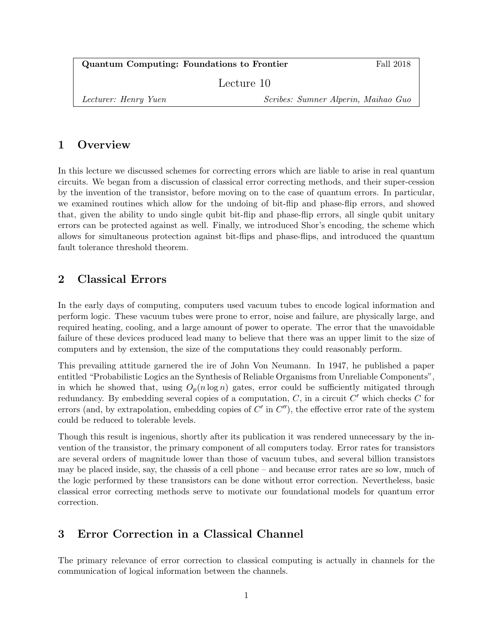| Quantum Computing: Foundations to Frontier |                                     | Fall 2018 |
|--------------------------------------------|-------------------------------------|-----------|
| Lecture 10                                 |                                     |           |
| Lecturer: Henry Yuen                       | Scribes: Sumner Alperin, Maihao Guo |           |

# 1 Overview

In this lecture we discussed schemes for correcting errors which are liable to arise in real quantum circuits. We began from a discussion of classical error correcting methods, and their super-cession by the invention of the transistor, before moving on to the case of quantum errors. In particular, we examined routines which allow for the undoing of bit-flip and phase-flip errors, and showed that, given the ability to undo single qubit bit-flip and phase-flip errors, all single qubit unitary errors can be protected against as well. Finally, we introduced Shor's encoding, the scheme which allows for simultaneous protection against bit-flips and phase-flips, and introduced the quantum fault tolerance threshold theorem.

# 2 Classical Errors

In the early days of computing, computers used vacuum tubes to encode logical information and perform logic. These vacuum tubes were prone to error, noise and failure, are physically large, and required heating, cooling, and a large amount of power to operate. The error that the unavoidable failure of these devices produced lead many to believe that there was an upper limit to the size of computers and by extension, the size of the computations they could reasonably perform.

This prevailing attitude garnered the ire of John Von Neumann. In 1947, he published a paper entitled "Probabilistic Logics an the Synthesis of Reliable Organisms from Unreliable Components", in which he showed that, using  $O_p(n \log n)$  gates, error could be sufficiently mitigated through redundancy. By embedding several copies of a computation,  $C$ , in a circuit  $C'$  which checks  $C$  for errors (and, by extrapolation, embedding copies of  $C'$  in  $C'$ ), the effective error rate of the system could be reduced to tolerable levels.

Though this result is ingenious, shortly after its publication it was rendered unnecessary by the invention of the transistor, the primary component of all computers today. Error rates for transistors are several orders of magnitude lower than those of vacuum tubes, and several billion transistors may be placed inside, say, the chassis of a cell phone – and because error rates are so low, much of the logic performed by these transistors can be done without error correction. Nevertheless, basic classical error correcting methods serve to motivate our foundational models for quantum error correction.

## 3 Error Correction in a Classical Channel

The primary relevance of error correction to classical computing is actually in channels for the communication of logical information between the channels.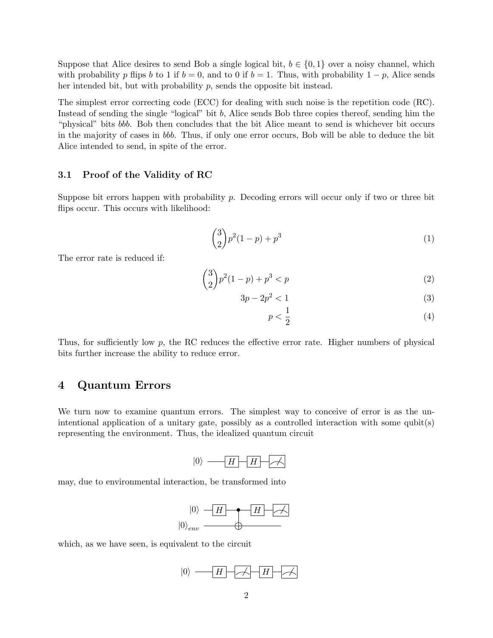Suppose that Alice desires to send Bob a single logical bit,  $b \in \{0,1\}$  over a noisy channel, which with probability p flips b to 1 if  $b = 0$ , and to 0 if  $b = 1$ . Thus, with probability  $1 - p$ , Alice sends her intended bit, but with probability p, sends the opposite bit instead.

The simplest error correcting code (ECC) for dealing with such noise is the repetition code (RC). Instead of sending the single "logical" bit b, Alice sends Bob three copies thereof, sending him the "physical" bits bbb. Bob then concludes that the bit Alice meant to send is whichever bit occurs in the majority of cases in bbb. Thus, if only one error occurs, Bob will be able to deduce the bit Alice intended to send, in spite of the error.

### 3.1 Proof of the Validity of RC

Suppose bit errors happen with probability  $p$ . Decoding errors will occur only if two or three bit flips occur. This occurs with likelihood:

$$
\binom{3}{2}p^2(1-p) + p^3\tag{1}
$$

The error rate is reduced if:

$$
\binom{3}{2}p^2(1-p) + p^3 < p \tag{2}
$$

$$
3p - 2p^2 < 1\tag{3}
$$

$$
p < \frac{1}{2} \tag{4}
$$

Thus, for sufficiently low p, the RC reduces the effective error rate. Higher numbers of physical bits further increase the ability to reduce error.

### 4 Quantum Errors

We turn now to examine quantum errors. The simplest way to conceive of error is as the unintentional application of a unitary gate, possibly as a controlled interaction with some qubit(s) representing the environment. Thus, the idealized quantum circuit

$$
|0\rangle \xrightarrow{\hspace*{1cm}} H \xrightarrow{\hspace*{1cm}} H \xrightarrow{\hspace*{1cm}} \xrightarrow{\hspace*{1cm}}
$$

may, due to environmental interaction, be transformed into



which, as we have seen, is equivalent to the circuit

$$
|0\rangle \text{ and } H \text{ is the same as } H \text{ is the same as } H \text{ is the same as } H \text{ is the same as } H \text{ is the same as } H \text{ is the same as } H \text{ is the same as } H \text{ is the same as } H \text{ is the same as } H \text{ is the same as } H \text{ is the same as } H \text{ is the same as } H \text{ is the same as } H \text{ is the same as } H \text{ is the same as } H \text{ is the same as } H \text{ is the same as } H \text{ is the same as } H \text{ is the same as } H \text{ is the same as } H \text{ is the same as } H \text{ is the same as } H \text{ is the same as } H \text{ is the same as } H \text{ is the same as } H \text{ is the same as } H \text{ is the same as } H \text{ is the same as } H \text{ is the same as } H \text{ is the same as } H \text{ is the same as } H \text{ is the same as } H \text{ is the same as } H \text{ is the same as } H \text{ is the same as } H \text{ is the same as } H \text{ is the same as } H \text{ is the same as } H \text{ is the same as } H \text{ is the same as } H \text{ is the same as } H \text{ is the same as } H \text{ is the same as } H \text{ is the same as } H \text{ is the same as } H \text{ is the same as } H \text{ is the same as } H \text{ is the same as } H \text{ is the same as } H \text{ is the same as } H \text{ is the same as } H \text{ is the same as } H \text{ is the same as } H \text{ is the same as } H \text{ is the same as } H \text{ is the same as } H \text{ is the same as } H \text{ is the same as } H \text{ is the same as } H \text{ is the same as } H \text{ is the same as } H \text{ is the same as } H \text{ is the same as } H \text{ is the same as } H \text{ is the same as } H \text{ is the same as } H \text{ is the same as } H \text{ is the same as } H \text{ is the same as } H \text{ is the same as } H \text{ is the same as } H \text{ is the same as } H \text{ is the same as } H \text{ is the same as } H \text{ is the same as } H \text{ is the same as } H \text{ is the same as } H \text{ is the same as } H \text{ is the same as } H \text{ is the same as } H \text{ is the same as } H \text{ is the same as } H \text{ is the same as } H \text
$$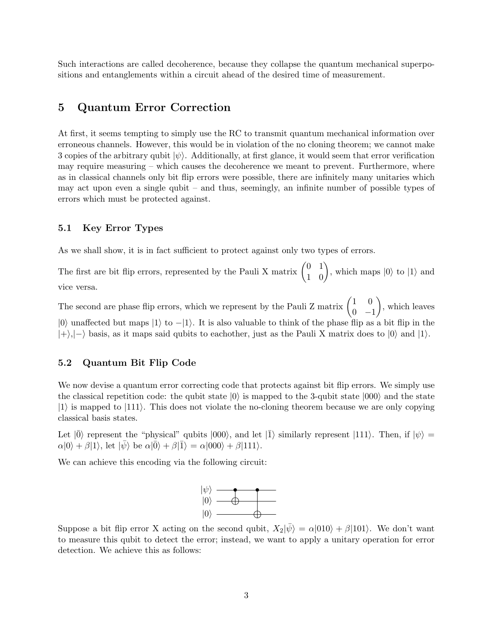Such interactions are called decoherence, because they collapse the quantum mechanical superpositions and entanglements within a circuit ahead of the desired time of measurement.

# 5 Quantum Error Correction

At first, it seems tempting to simply use the RC to transmit quantum mechanical information over erroneous channels. However, this would be in violation of the no cloning theorem; we cannot make 3 copies of the arbitrary qubit  $|\psi\rangle$ . Additionally, at first glance, it would seem that error verification may require measuring – which causes the decoherence we meant to prevent. Furthermore, where as in classical channels only bit flip errors were possible, there are infinitely many unitaries which may act upon even a single qubit – and thus, seemingly, an infinite number of possible types of errors which must be protected against.

### 5.1 Key Error Types

As we shall show, it is in fact sufficient to protect against only two types of errors.

The first are bit flip errors, represented by the Pauli X matrix  $\begin{pmatrix} 0 & 1 \\ 1 & 0 \end{pmatrix}$ , which maps  $|0\rangle$  to  $|1\rangle$  and vice versa.

The second are phase flip errors, which we represent by the Pauli Z matrix  $\begin{pmatrix} 1 & 0 \\ 0 & 0 \end{pmatrix}$  $0 -1$  , which leaves  $|0\rangle$  unaffected but maps  $|1\rangle$  to  $-|1\rangle$ . It is also valuable to think of the phase flip as a bit flip in the  $|+\rangle,|-\rangle$  basis, as it maps said qubits to eachother, just as the Pauli X matrix does to  $|0\rangle$  and  $|1\rangle$ .

### 5.2 Quantum Bit Flip Code

We now devise a quantum error correcting code that protects against bit flip errors. We simply use the classical repetition code: the qubit state  $|0\rangle$  is mapped to the 3-qubit state  $|000\rangle$  and the state  $|1\rangle$  is mapped to  $|11\rangle$ . This does not violate the no-cloning theorem because we are only copying classical basis states.

Let  $|\bar{0}\rangle$  represent the "physical" qubits  $|000\rangle$ , and let  $|\bar{1}\rangle$  similarly represent  $|111\rangle$ . Then, if  $|\psi\rangle$  =  $\alpha|0\rangle + \beta|1\rangle$ , let  $|\bar{\psi}\rangle$  be  $\alpha|\bar{0}\rangle + \beta|\bar{1}\rangle = \alpha|000\rangle + \beta|111\rangle$ .

We can achieve this encoding via the following circuit:



Suppose a bit flip error X acting on the second qubit,  $X_2|\bar{\psi}\rangle = \alpha|010\rangle + \beta|101\rangle$ . We don't want to measure this qubit to detect the error; instead, we want to apply a unitary operation for error detection. We achieve this as follows: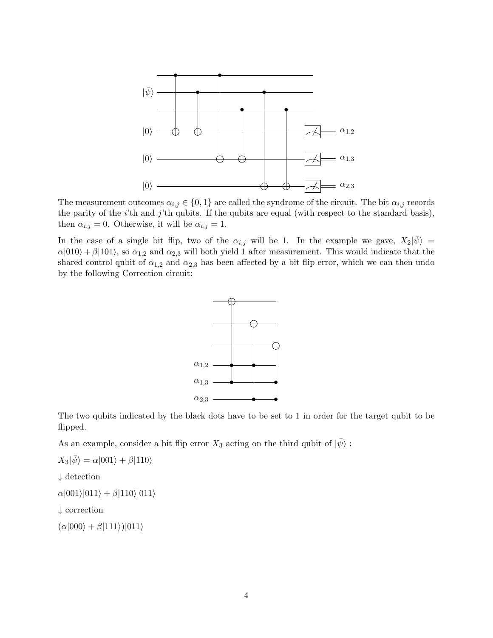

The measurement outcomes  $\alpha_{i,j} \in \{0,1\}$  are called the syndrome of the circuit. The bit  $\alpha_{i,j}$  records the parity of the  $i$ 'th and  $j$ 'th qubits. If the qubits are equal (with respect to the standard basis), then  $\alpha_{i,j} = 0$ . Otherwise, it will be  $\alpha_{i,j} = 1$ .

In the case of a single bit flip, two of the  $\alpha_{i,j}$  will be 1. In the example we gave,  $X_2|\bar{\psi}\rangle =$  $\alpha|010\rangle + \beta|101\rangle$ , so  $\alpha_{1,2}$  and  $\alpha_{2,3}$  will both yield 1 after measurement. This would indicate that the shared control qubit of  $\alpha_{1,2}$  and  $\alpha_{2,3}$  has been affected by a bit flip error, which we can then undo by the following Correction circuit:



The two qubits indicated by the black dots have to be set to 1 in order for the target qubit to be flipped.

As an example, consider a bit flip error  $X_3$  acting on the third qubit of  $|\psi\rangle$ :

$$
X_3|\bar{\psi}\rangle = \alpha|001\rangle + \beta|110\rangle
$$

 $\downarrow$  detection

 $\alpha|001\rangle|011\rangle + \beta|110\rangle|011\rangle$ 

$$
\downarrow
$$
 correction

 $(\alpha|000\rangle + \beta|111\rangle)|011\rangle$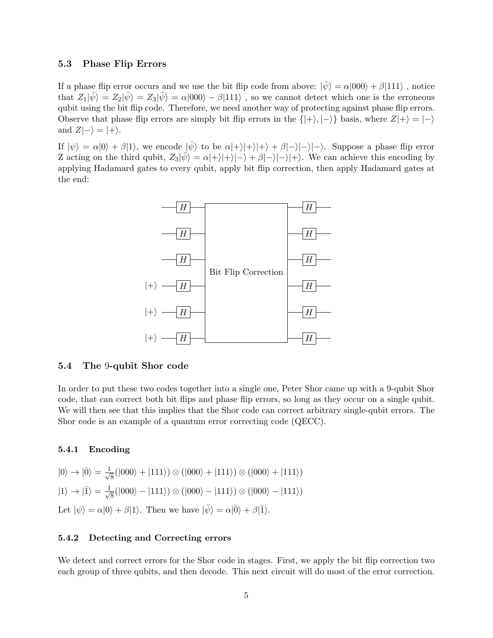### 5.3 Phase Flip Errors

If a phase flip error occurs and we use the bit flip code from above:  $|\psi\rangle = \alpha|000\rangle + \beta|111\rangle$ , notice that  $Z_1|\bar{\psi}\rangle = Z_2|\bar{\psi}\rangle = Z_3|\bar{\psi}\rangle = \alpha|000\rangle - \beta|111\rangle$ , so we cannot detect which one is the erroneous qubit using the bit flip code. Therefore, we need another way of protecting against phase flip errors. Observe that phase flip errors are simply bit flip errors in the  $\{|\text{+}\rangle, |\text{-}\rangle\}$  basis, where  $Z|+\rangle = |\text{-}\rangle$ and  $Z|\rightarrow$  =  $|+\rangle$ .

If  $|\psi\rangle = \alpha|0\rangle + \beta|1\rangle$ , we encode  $|\bar{\psi}\rangle$  to be  $\alpha|+\rangle|+\rangle|+\rangle + \beta|-\rangle|-\rangle$ . Suppose a phase flip error Z acting on the third qubit,  $Z_3|\bar{\psi}\rangle = \alpha|+\rangle|+\rangle|-\rangle + \beta|-\rangle|+\rangle$ . We can achieve this encoding by applying Hadamard gates to every qubit, apply bit flip correction, then apply Hadamard gates at the end:



#### 5.4 The 9-qubit Shor code

In order to put these two codes together into a single one, Peter Shor came up with a 9-qubit Shor code, that can correct both bit flips and phase flip errors, so long as they occur on a single qubit. We will then see that this implies that the Shor code can correct arbitrary single-qubit errors. The Shor code is an example of a quantum error correcting code (QECC).

#### 5.4.1 Encoding

 $|0\rangle \rightarrow |\bar{0}\rangle = \frac{1}{\sqrt{2}}$  $\frac{1}{8}(|000\rangle + |111\rangle) \otimes (|000\rangle + |111\rangle) \otimes (|000\rangle + |111\rangle)$  $|1\rangle \rightarrow |\overline{1}\rangle = \frac{1}{\sqrt{2}}$  $\frac{1}{8}(|000\rangle - |111\rangle) \otimes (|000\rangle - |111\rangle) \otimes (|000\rangle - |111\rangle)$ Let  $|\psi\rangle = \alpha|0\rangle + \beta|1\rangle$ . Then we have  $|\bar{\psi}\rangle = \alpha|\bar{0}\rangle + \beta|\bar{1}\rangle$ .

#### 5.4.2 Detecting and Correcting errors

We detect and correct errors for the Shor code in stages. First, we apply the bit flip correction two each group of three qubits, and then decode. This next circuit will do most of the error correction.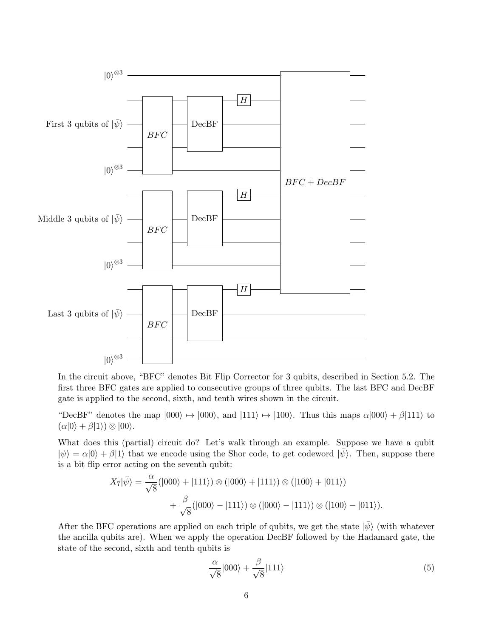

In the circuit above, "BFC" denotes Bit Flip Corrector for 3 qubits, described in Section 5.2. The first three BFC gates are applied to consecutive groups of three qubits. The last BFC and DecBF gate is applied to the second, sixth, and tenth wires shown in the circuit.

"DecBF" denotes the map  $|000\rangle \rightarrow |000\rangle$ , and  $|111\rangle \rightarrow |100\rangle$ . Thus this maps  $\alpha|000\rangle + \beta|111\rangle$  to  $(\alpha|0\rangle + \beta|1\rangle) \otimes |00\rangle.$ 

What does this (partial) circuit do? Let's walk through an example. Suppose we have a qubit  $|\psi\rangle = \alpha|0\rangle + \beta|1\rangle$  that we encode using the Shor code, to get codeword  $|\bar{\psi}\rangle$ . Then, suppose there is a bit flip error acting on the seventh qubit:

$$
X_7|\bar{\psi}\rangle = \frac{\alpha}{\sqrt{8}}(|000\rangle + |111\rangle) \otimes (|000\rangle + |111\rangle) \otimes (|100\rangle + |011\rangle) + \frac{\beta}{\sqrt{8}}(|000\rangle - |111\rangle) \otimes (|000\rangle - |111\rangle) \otimes (|100\rangle - |011\rangle).
$$

After the BFC operations are applied on each triple of qubits, we get the state  $|\bar{\psi}\rangle$  (with whatever the ancilla qubits are). When we apply the operation DecBF followed by the Hadamard gate, the state of the second, sixth and tenth qubits is

$$
\frac{\alpha}{\sqrt{8}}|000\rangle + \frac{\beta}{\sqrt{8}}|111\rangle\tag{5}
$$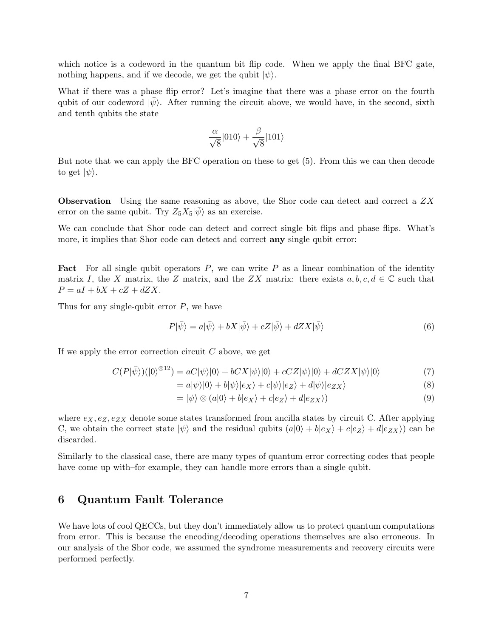which notice is a codeword in the quantum bit flip code. When we apply the final BFC gate, nothing happens, and if we decode, we get the qubit  $|\psi\rangle$ .

What if there was a phase flip error? Let's imagine that there was a phase error on the fourth qubit of our codeword  $|\bar{\psi}\rangle$ . After running the circuit above, we would have, in the second, sixth and tenth qubits the state

$$
\frac{\alpha}{\sqrt{8}}|010\rangle + \frac{\beta}{\sqrt{8}}|101\rangle
$$

But note that we can apply the BFC operation on these to get (5). From this we can then decode to get  $|\psi\rangle$ .

Observation Using the same reasoning as above, the Shor code can detect and correct a ZX error on the same qubit. Try  $Z_5X_5|\bar{\psi}\rangle$  as an exercise.

We can conclude that Shor code can detect and correct single bit flips and phase flips. What's more, it implies that Shor code can detect and correct **any** single qubit error:

**Fact** For all single qubit operators  $P$ , we can write  $P$  as a linear combination of the identity matrix I, the X matrix, the Z matrix, and the ZX matrix: there exists  $a, b, c, d \in \mathbb{C}$  such that  $P = aI + bX + cZ + dZX.$ 

Thus for any single-qubit error  $P$ , we have

$$
P|\bar{\psi}\rangle = a|\bar{\psi}\rangle + bX|\bar{\psi}\rangle + cZ|\bar{\psi}\rangle + dZX|\bar{\psi}\rangle
$$
\n(6)

If we apply the error correction circuit  $C$  above, we get

$$
C(P|\bar{\psi}\rangle)(|0\rangle^{\otimes 12}) = aC|\psi\rangle|0\rangle + bCX|\psi\rangle|0\rangle + cCZ|\psi\rangle|0\rangle + dCZX|\psi\rangle|0\rangle \tag{7}
$$

$$
= a|\psi\rangle|0\rangle + b|\psi\rangle|e_X\rangle + c|\psi\rangle|e_Z\rangle + d|\psi\rangle|e_{ZX}\rangle
$$
\n(8)

$$
= |\psi\rangle \otimes (a|0\rangle + b|e_X\rangle + c|e_Z\rangle + d|e_{ZX}\rangle)
$$
\n(9)

where  $e_X, e_Z, e_{ZX}$  denote some states transformed from ancilla states by circuit C. After applying C, we obtain the correct state  $|\psi\rangle$  and the residual qubits  $(a|0\rangle + b|e_X\rangle + c|e_Z\rangle + d|e_{ZX}\rangle)$  can be discarded.

Similarly to the classical case, there are many types of quantum error correcting codes that people have come up with–for example, they can handle more errors than a single qubit.

### 6 Quantum Fault Tolerance

We have lots of cool QECCs, but they don't immediately allow us to protect quantum computations from error. This is because the encoding/decoding operations themselves are also erroneous. In our analysis of the Shor code, we assumed the syndrome measurements and recovery circuits were performed perfectly.